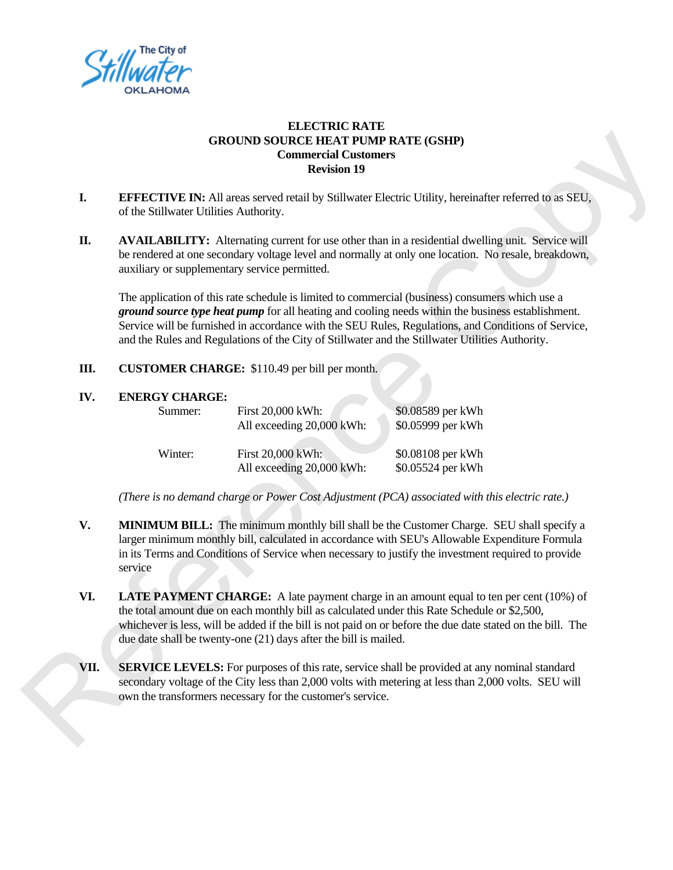

## **ELECTRIC RATE GROUND SOURCE HEAT PUMP RATE (GSHP) Commercial Customers Revision 19**

- **I.** EFFECTIVE IN: All areas served retail by Stillwater Electric Utility, hereinafter referred to as SEU, of the Stillwater Utilities Authority.
- **II. AVAILABILITY:** Alternating current for use other than in a residential dwelling unit. Service will be rendered at one secondary voltage level and normally at only one location. No resale, breakdown, auxiliary or supplementary service permitted.

|      |                                                                                                                                                                                                                                                                                                                                                                                   | <b>GROUND SOURCE HEAT PUMP RATE (GSHP)</b><br><b>Commercial Customers</b><br><b>Revision 19</b> |                                                                                                                                                                                                                                                                                                                                                                                                                |
|------|-----------------------------------------------------------------------------------------------------------------------------------------------------------------------------------------------------------------------------------------------------------------------------------------------------------------------------------------------------------------------------------|-------------------------------------------------------------------------------------------------|----------------------------------------------------------------------------------------------------------------------------------------------------------------------------------------------------------------------------------------------------------------------------------------------------------------------------------------------------------------------------------------------------------------|
| I.   | EFFECTIVE IN: All areas served retail by Stillwater Electric Utility, hereinafter referred to as SEU,<br>of the Stillwater Utilities Authority.                                                                                                                                                                                                                                   |                                                                                                 |                                                                                                                                                                                                                                                                                                                                                                                                                |
| П.   | <b>AVAILABILITY:</b> Alternating current for use other than in a residential dwelling unit. Service will<br>be rendered at one secondary voltage level and normally at only one location. No resale, breakdown,<br>auxiliary or supplementary service permitted.                                                                                                                  |                                                                                                 |                                                                                                                                                                                                                                                                                                                                                                                                                |
|      |                                                                                                                                                                                                                                                                                                                                                                                   |                                                                                                 | The application of this rate schedule is limited to commercial (business) consumers which use a<br>ground source type heat pump for all heating and cooling needs within the business establishment.<br>Service will be furnished in accordance with the SEU Rules, Regulations, and Conditions of Service,<br>and the Rules and Regulations of the City of Stillwater and the Stillwater Utilities Authority. |
| Ш.   | <b>CUSTOMER CHARGE:</b> \$110.49 per bill per month.                                                                                                                                                                                                                                                                                                                              |                                                                                                 |                                                                                                                                                                                                                                                                                                                                                                                                                |
| IV.  | <b>ENERGY CHARGE:</b>                                                                                                                                                                                                                                                                                                                                                             |                                                                                                 |                                                                                                                                                                                                                                                                                                                                                                                                                |
|      | Summer:                                                                                                                                                                                                                                                                                                                                                                           | First 20,000 kWh:<br>All exceeding 20,000 kWh:                                                  | \$0.08589 per kWh<br>\$0.05999 per kWh                                                                                                                                                                                                                                                                                                                                                                         |
|      | Winter:                                                                                                                                                                                                                                                                                                                                                                           | First 20,000 kWh:                                                                               | \$0.08108 per kWh                                                                                                                                                                                                                                                                                                                                                                                              |
|      |                                                                                                                                                                                                                                                                                                                                                                                   | All exceeding 20,000 kWh:                                                                       | \$0.05524 per kWh                                                                                                                                                                                                                                                                                                                                                                                              |
|      |                                                                                                                                                                                                                                                                                                                                                                                   |                                                                                                 | (There is no demand charge or Power Cost Adjustment (PCA) associated with this electric rate.)                                                                                                                                                                                                                                                                                                                 |
| V.   | MINIMUM BILL: The minimum monthly bill shall be the Customer Charge. SEU shall specify a<br>larger minimum monthly bill, calculated in accordance with SEU's Allowable Expenditure Formula<br>in its Terms and Conditions of Service when necessary to justify the investment required to provide<br>service                                                                      |                                                                                                 |                                                                                                                                                                                                                                                                                                                                                                                                                |
| VI.  | <b>LATE PAYMENT CHARGE:</b> A late payment charge in an amount equal to ten per cent (10%) of<br>the total amount due on each monthly bill as calculated under this Rate Schedule or \$2,500,<br>whichever is less, will be added if the bill is not paid on or before the due date stated on the bill. The<br>due date shall be twenty-one $(21)$ days after the bill is mailed. |                                                                                                 |                                                                                                                                                                                                                                                                                                                                                                                                                |
| VII. | <b>SERVICE LEVELS:</b> For purposes of this rate, service shall be provided at any nominal standard<br>secondary voltage of the City less than 2,000 volts with metering at less than 2,000 volts. SEU will<br>own the transformers necessary for the customer's service.                                                                                                         |                                                                                                 |                                                                                                                                                                                                                                                                                                                                                                                                                |

- **V. MINIMUM BILL:** The minimum monthly bill shall be the Customer Charge. SEU shall specify a larger minimum monthly bill, calculated in accordance with SEU's Allowable Expenditure Formula in its Terms and Conditions of Service when necessary to justify the investment required to provide service
- **VI. LATE PAYMENT CHARGE:** A late payment charge in an amount equal to ten per cent (10%) of the total amount due on each monthly bill as calculated under this Rate Schedule or \$2,500, whichever is less, will be added if the bill is not paid on or before the due date stated on the bill. The due date shall be twenty-one (21) days after the bill is mailed.
- **VII. SERVICE LEVELS:** For purposes of this rate, service shall be provided at any nominal standard secondary voltage of the City less than 2,000 volts with metering at less than 2,000 volts. SEU will own the transformers necessary for the customer's service.